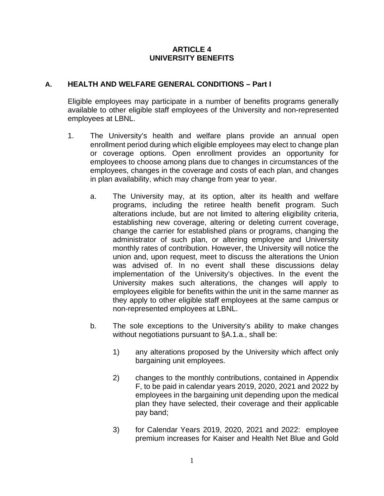#### **ARTICLE 4 UNIVERSITY BENEFITS**

#### **A. HEALTH AND WELFARE GENERAL CONDITIONS – Part I**

Eligible employees may participate in a number of benefits programs generally available to other eligible staff employees of the University and non-represented employees at LBNL.

- 1. The University's health and welfare plans provide an annual open enrollment period during which eligible employees may elect to change plan or coverage options. Open enrollment provides an opportunity for employees to choose among plans due to changes in circumstances of the employees, changes in the coverage and costs of each plan, and changes in plan availability, which may change from year to year.
	- a. The University may, at its option, alter its health and welfare programs, including the retiree health benefit program. Such alterations include, but are not limited to altering eligibility criteria, establishing new coverage, altering or deleting current coverage, change the carrier for established plans or programs, changing the administrator of such plan, or altering employee and University monthly rates of contribution. However, the University will notice the union and, upon request, meet to discuss the alterations the Union was advised of. In no event shall these discussions delay implementation of the University's objectives. In the event the University makes such alterations, the changes will apply to employees eligible for benefits within the unit in the same manner as they apply to other eligible staff employees at the same campus or non-represented employees at LBNL.
	- b. The sole exceptions to the University's ability to make changes without negotiations pursuant to §A.1.a., shall be:
		- 1) any alterations proposed by the University which affect only bargaining unit employees.
		- 2) changes to the monthly contributions, contained in Appendix F, to be paid in calendar years 2019, 2020, 2021 and 2022 by employees in the bargaining unit depending upon the medical plan they have selected, their coverage and their applicable pay band;
		- 3) for Calendar Years 2019, 2020, 2021 and 2022: employee premium increases for Kaiser and Health Net Blue and Gold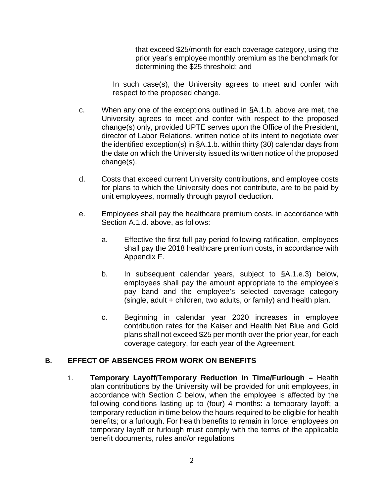that exceed \$25/month for each coverage category, using the prior year's employee monthly premium as the benchmark for determining the \$25 threshold; and

In such case(s), the University agrees to meet and confer with respect to the proposed change.

- c. When any one of the exceptions outlined in §A.1.b. above are met, the University agrees to meet and confer with respect to the proposed change(s) only, provided UPTE serves upon the Office of the President, director of Labor Relations, written notice of its intent to negotiate over the identified exception(s) in §A.1.b. within thirty (30) calendar days from the date on which the University issued its written notice of the proposed change(s).
- d. Costs that exceed current University contributions, and employee costs for plans to which the University does not contribute, are to be paid by unit employees, normally through payroll deduction.
- e. Employees shall pay the healthcare premium costs, in accordance with Section A.1.d. above, as follows:
	- a. Effective the first full pay period following ratification, employees shall pay the 2018 healthcare premium costs, in accordance with Appendix F.
	- b. In subsequent calendar years, subject to §A.1.e.3) below, employees shall pay the amount appropriate to the employee's pay band and the employee's selected coverage category (single, adult + children, two adults, or family) and health plan.
	- c. Beginning in calendar year 2020 increases in employee contribution rates for the Kaiser and Health Net Blue and Gold plans shall not exceed \$25 per month over the prior year, for each coverage category, for each year of the Agreement.

# **B. EFFECT OF ABSENCES FROM WORK ON BENEFITS**

1. **Temporary Layoff/Temporary Reduction in Time/Furlough –** Health plan contributions by the University will be provided for unit employees, in accordance with Section C below, when the employee is affected by the following conditions lasting up to (four) 4 months: a temporary layoff; a temporary reduction in time below the hours required to be eligible for health benefits; or a furlough. For health benefits to remain in force, employees on temporary layoff or furlough must comply with the terms of the applicable benefit documents, rules and/or regulations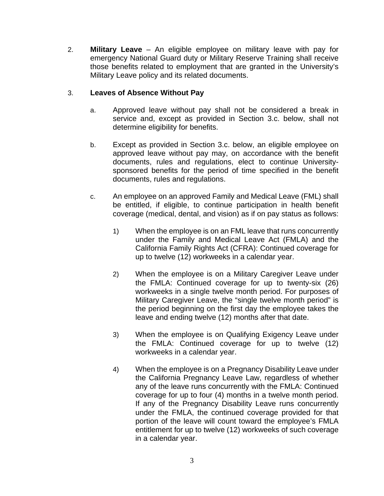2. **Military Leave** – An eligible employee on military leave with pay for emergency National Guard duty or Military Reserve Training shall receive those benefits related to employment that are granted in the University's Military Leave policy and its related documents.

### 3. **Leaves of Absence Without Pay**

- a. Approved leave without pay shall not be considered a break in service and, except as provided in Section 3.c. below, shall not determine eligibility for benefits.
- b. Except as provided in Section 3.c. below, an eligible employee on approved leave without pay may, on accordance with the benefit documents, rules and regulations, elect to continue Universitysponsored benefits for the period of time specified in the benefit documents, rules and regulations.
- c. An employee on an approved Family and Medical Leave (FML) shall be entitled, if eligible, to continue participation in health benefit coverage (medical, dental, and vision) as if on pay status as follows:
	- 1) When the employee is on an FML leave that runs concurrently under the Family and Medical Leave Act (FMLA) and the California Family Rights Act (CFRA): Continued coverage for up to twelve (12) workweeks in a calendar year.
	- 2) When the employee is on a Military Caregiver Leave under the FMLA: Continued coverage for up to twenty-six (26) workweeks in a single twelve month period. For purposes of Military Caregiver Leave, the "single twelve month period" is the period beginning on the first day the employee takes the leave and ending twelve (12) months after that date.
	- 3) When the employee is on Qualifying Exigency Leave under the FMLA: Continued coverage for up to twelve (12) workweeks in a calendar year.
	- 4) When the employee is on a Pregnancy Disability Leave under the California Pregnancy Leave Law, regardless of whether any of the leave runs concurrently with the FMLA: Continued coverage for up to four (4) months in a twelve month period. If any of the Pregnancy Disability Leave runs concurrently under the FMLA, the continued coverage provided for that portion of the leave will count toward the employee's FMLA entitlement for up to twelve (12) workweeks of such coverage in a calendar year.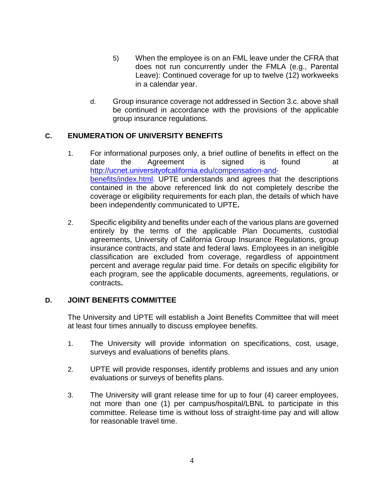- 5) When the employee is on an FML leave under the CFRA that does not run concurrently under the FMLA (e.g., Parental Leave): Continued coverage for up to twelve (12) workweeks in a calendar year.
- d. Group insurance coverage not addressed in Section 3.c. above shall be continued in accordance with the provisions of the applicable group insurance regulations.

# **C. ENUMERATION OF UNIVERSITY BENEFITS**

- 1. For informational purposes only, a brief outline of benefits in effect on the date the Agreement is signed is found at [http://ucnet.universityofcalifornia.edu/compensation-and](http://ucnet.universityofcalifornia.edu/compensation-and-benefits/index.html)[benefits/index.html.](http://ucnet.universityofcalifornia.edu/compensation-and-benefits/index.html) UPTE understands and agrees that the descriptions contained in the above referenced link do not completely describe the coverage or eligibility requirements for each plan, the details of which have been independently communicated to UPTE**.**
- 2. Specific eligibility and benefits under each of the various plans are governed entirely by the terms of the applicable Plan Documents, custodial agreements, University of California Group Insurance Regulations, group insurance contracts, and state and federal laws. Employees in an ineligible classification are excluded from coverage, regardless of appointment percent and average regular paid time. For details on specific eligibility for each program, see the applicable documents, agreements, regulations, or contracts**.**

#### **D. JOINT BENEFITS COMMITTEE**

The University and UPTE will establish a Joint Benefits Committee that will meet at least four times annually to discuss employee benefits.

- 1. The University will provide information on specifications, cost, usage, surveys and evaluations of benefits plans.
- 2. UPTE will provide responses, identify problems and issues and any union evaluations or surveys of benefits plans.
- 3. The University will grant release time for up to four (4) career employees, not more than one (1) per campus/hospital/LBNL to participate in this committee. Release time is without loss of straight-time pay and will allow for reasonable travel time.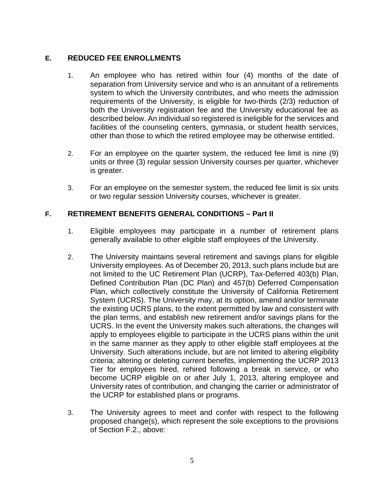### **E. REDUCED FEE ENROLLMENTS**

- 1. An employee who has retired within four (4) months of the date of separation from University service and who is an annuitant of a retirements system to which the University contributes, and who meets the admission requirements of the University, is eligible for two-thirds (2/3) reduction of both the University registration fee and the University educational fee as described below. An individual so registered is ineligible for the services and facilities of the counseling centers, gymnasia, or student health services, other than those to which the retired employee may be otherwise entitled.
- 2. For an employee on the quarter system, the reduced fee limit is nine (9) units or three (3) regular session University courses per quarter, whichever is greater.
- 3. For an employee on the semester system, the reduced fee limit is six units or two regular session University courses, whichever is greater.

### **F. RETIREMENT BENEFITS GENERAL CONDITIONS – Part II**

- 1. Eligible employees may participate in a number of retirement plans generally available to other eligible staff employees of the University.
- 2. The University maintains several retirement and savings plans for eligible University employees. As of December 20, 2013, such plans include but are not limited to the UC Retirement Plan (UCRP), Tax-Deferred 403(b) Plan, Defined Contribution Plan (DC Plan) and 457(b) Deferred Compensation Plan, which collectively constitute the University of California Retirement System (UCRS). The University may, at its option, amend and/or terminate the existing UCRS plans, to the extent permitted by law and consistent with the plan terms, and establish new retirement and/or savings plans for the UCRS. In the event the University makes such alterations, the changes will apply to employees eligible to participate in the UCRS plans within the unit in the same manner as they apply to other eligible staff employees at the University. Such alterations include, but are not limited to altering eligibility criteria; altering or deleting current benefits, implementing the UCRP 2013 Tier for employees hired, rehired following a break in service, or who become UCRP eligible on or after July 1, 2013, altering employee and University rates of contribution, and changing the carrier or administrator of the UCRP for established plans or programs.
- 3. The University agrees to meet and confer with respect to the following proposed change(s), which represent the sole exceptions to the provisions of Section F.2., above: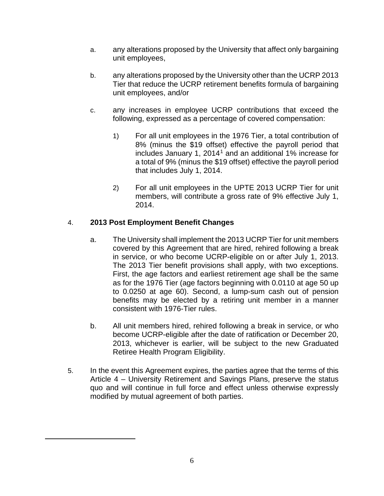- a. any alterations proposed by the University that affect only bargaining unit employees,
- b. any alterations proposed by the University other than the UCRP 2013 Tier that reduce the UCRP retirement benefits formula of bargaining unit employees, and/or
- c. any increases in employee UCRP contributions that exceed the following, expressed as a percentage of covered compensation:
	- 1) For all unit employees in the 1976 Tier, a total contribution of 8% (minus the \$19 offset) effective the payroll period that includes January [1](#page-5-0), 2014<sup>1</sup> and an additional 1% increase for a total of 9% (minus the \$19 offset) effective the payroll period that includes July 1, 2014.
	- 2) For all unit employees in the UPTE 2013 UCRP Tier for unit members, will contribute a gross rate of 9% effective July 1, 2014.

# 4. **2013 Post Employment Benefit Changes**

<span id="page-5-0"></span> $\overline{a}$ 

- a. The University shall implement the 2013 UCRP Tier for unit members covered by this Agreement that are hired, rehired following a break in service, or who become UCRP-eligible on or after July 1, 2013. The 2013 Tier benefit provisions shall apply, with two exceptions. First, the age factors and earliest retirement age shall be the same as for the 1976 Tier (age factors beginning with 0.0110 at age 50 up to 0.0250 at age 60). Second, a lump-sum cash out of pension benefits may be elected by a retiring unit member in a manner consistent with 1976-Tier rules.
- b. All unit members hired, rehired following a break in service, or who become UCRP-eligible after the date of ratification or December 20, 2013, whichever is earlier, will be subject to the new Graduated Retiree Health Program Eligibility.
- 5. In the event this Agreement expires, the parties agree that the terms of this Article 4 – University Retirement and Savings Plans, preserve the status quo and will continue in full force and effect unless otherwise expressly modified by mutual agreement of both parties.